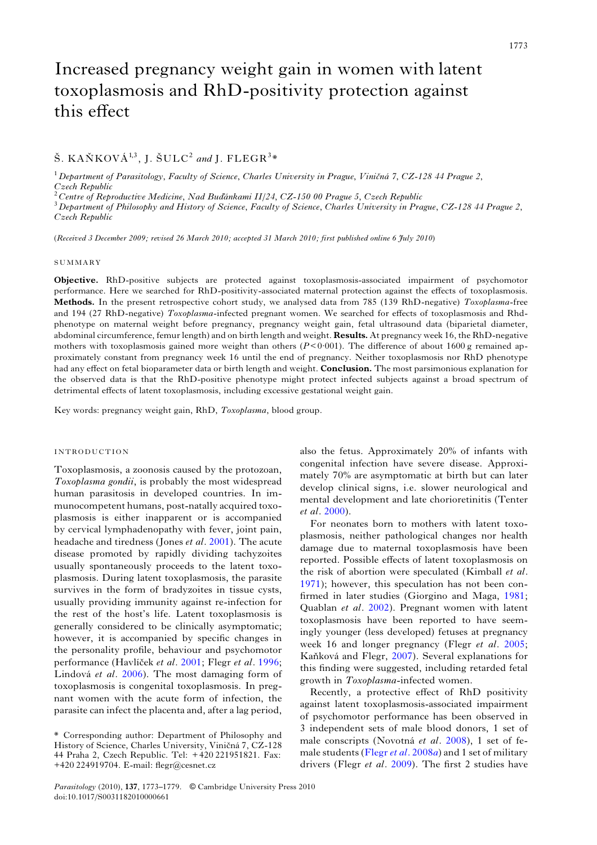# Š. KAŇKOVÁ $^{1,3}$ , J. ŠULC<sup>2</sup> and J. FLEGR<sup>3</sup>\*

 $1$  Department of Parasitology, Faculty of Science, Charles University in Prague, Viničná 7, CZ-128 44 Prague 2,

Czech Republic<br><sup>2</sup> Centre of Reproductive Medicine, Nad Buďánkami II/24, CZ-150 00 Prague 5, Czech Republic

 $^3$  Department of Philosophy and History of Science, Faculty of Science, Charles University in Prague, CZ-128 44 Prague 2, Czech Republic

(Received 3 December 2009; revised 26 March 2010; accepted 31 March 2010; first published online 6 July 2010)

### SUMMARY

Objective. RhD-positive subjects are protected against toxoplasmosis-associated impairment of psychomotor performance. Here we searched for RhD-positivity-associated maternal protection against the effects of toxoplasmosis. Methods. In the present retrospective cohort study, we analysed data from 785 (139 RhD-negative) Toxoplasma-free and 194 (27 RhD-negative) Toxoplasma-infected pregnant women. We searched for effects of toxoplasmosis and Rhdphenotype on maternal weight before pregnancy, pregnancy weight gain, fetal ultrasound data (biparietal diameter, abdominal circumference, femur length) and on birth length and weight. Results. At pregnancy week 16, the RhD-negative mothers with toxoplasmosis gained more weight than others  $(P< 0.001)$ . The difference of about 1600 g remained approximately constant from pregnancy week 16 until the end of pregnancy. Neither toxoplasmosis nor RhD phenotype had any effect on fetal bioparameter data or birth length and weight. **Conclusion.** The most parsimonious explanation for the observed data is that the RhD-positive phenotype might protect infected subjects against a broad spectrum of detrimental effects of latent toxoplasmosis, including excessive gestational weight gain.

Key words: pregnancy weight gain, RhD, Toxoplasma, blood group.

# INTRODUCTION

Toxoplasmosis, a zoonosis caused by the protozoan, Toxoplasma gondii, is probably the most widespread human parasitosis in developed countries. In immunocompetent humans, post-natally acquired toxoplasmosis is either inapparent or is accompanied by cervical lymphadenopathy with fever, joint pain, headache and tiredness (Jones et al. [2001](#page-6-0)). The acute disease promoted by rapidly dividing tachyzoites usually spontaneously proceeds to the latent toxoplasmosis. During latent toxoplasmosis, the parasite survives in the form of bradyzoites in tissue cysts, usually providing immunity against re-infection for the rest of the host's life. Latent toxoplasmosis is generally considered to be clinically asymptomatic; however, it is accompanied by specific changes in the personality profile, behaviour and psychomotor performance (Havlíček et al. [2001;](#page-6-0) Flegr et al. [1996](#page-6-0); Lindová et al. [2006](#page-6-0)). The most damaging form of toxoplasmosis is congenital toxoplasmosis. In pregnant women with the acute form of infection, the parasite can infect the placenta and, after a lag period,

also the fetus. Approximately 20% of infants with congenital infection have severe disease. Approximately 70% are asymptomatic at birth but can later develop clinical signs, i.e. slower neurological and mental development and late chorioretinitis (Tenter et al. [2000\)](#page-6-0).

For neonates born to mothers with latent toxoplasmosis, neither pathological changes nor health damage due to maternal toxoplasmosis have been reported. Possible effects of latent toxoplasmosis on the risk of abortion were speculated (Kimball et al. [1971\)](#page-6-0); however, this speculation has not been confirmed in later studies (Giorgino and Maga, [1981](#page-6-0); Quablan et al. [2002\)](#page-6-0). Pregnant women with latent toxoplasmosis have been reported to have seemingly younger (less developed) fetuses at pregnancy week 16 and longer pregnancy (Flegr *et al.* [2005](#page-5-0); Kaňková and Flegr, [2007](#page-6-0)). Several explanations for this finding were suggested, including retarded fetal growth in Toxoplasma-infected women.

Recently, a protective effect of RhD positivity against latent toxoplasmosis-associated impairment of psychomotor performance has been observed in 3 independent sets of male blood donors, 1 set of male conscripts (Novotná et al. [2008](#page-6-0)), 1 set of fe-male students [\(Flegr](#page-6-0) et al.  $2008a$ ) and 1 set of military drivers (Flegr et al. [2009](#page-5-0)). The first 2 studies have

<sup>\*</sup> Corresponding author: Department of Philosophy and History of Science, Charles University, Viničná 7, CZ-128 44 Praha 2, Czech Republic. Tel: + 420 221951821. Fax: +420 224919704. E-mail: flegr@cesnet.cz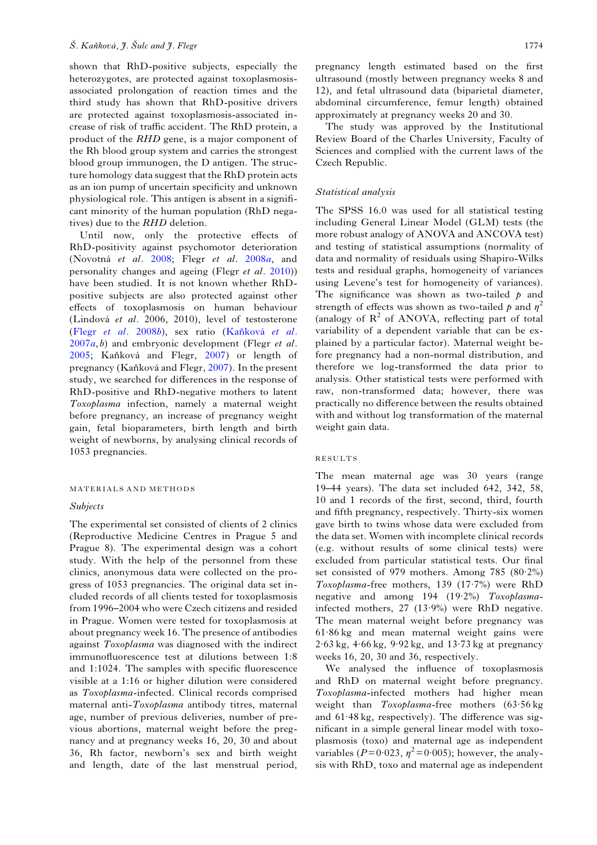shown that RhD-positive subjects, especially the heterozygotes, are protected against toxoplasmosisassociated prolongation of reaction times and the third study has shown that RhD-positive drivers are protected against toxoplasmosis-associated increase of risk of traffic accident. The RhD protein, a product of the RHD gene, is a major component of the Rh blood group system and carries the strongest blood group immunogen, the D antigen. The structure homology data suggest that the RhD protein acts as an ion pump of uncertain specificity and unknown physiological role. This antigen is absent in a significant minority of the human population (RhD negatives) due to the RHD deletion.

Until now, only the protective effects of RhD-positivity against psychomotor deterioration (Novotná et al. [2008](#page-6-0); Flegr et al. [2008](#page-6-0)a, and personality changes and ageing (Flegr et al. [2010](#page-6-0))) have been studied. It is not known whether RhDpositive subjects are also protected against other effects of toxoplasmosis on human behaviour (Lindová et al. 2006, 2010), level of testosterone (Flegr [et al.](#page-5-0) 2008b), sex ratio (Kaňková [et al.](#page-6-0)  $2007a, b$  $2007a, b$ ) and embryonic development (Flegr et al. [2005](#page-5-0); Kaňková and Flegr, [2007](#page-6-0)) or length of pregnancy (Kaňková and Flegr, [2007](#page-6-0)). In the present study, we searched for differences in the response of RhD-positive and RhD-negative mothers to latent Toxoplasma infection, namely a maternal weight before pregnancy, an increase of pregnancy weight gain, fetal bioparameters, birth length and birth weight of newborns, by analysing clinical records of 1053 pregnancies.

### MATERIALS AND METHODS

### Subjects

The experimental set consisted of clients of 2 clinics (Reproductive Medicine Centres in Prague 5 and Prague 8). The experimental design was a cohort study. With the help of the personnel from these clinics, anonymous data were collected on the progress of 1053 pregnancies. The original data set included records of all clients tested for toxoplasmosis from 1996–2004 who were Czech citizens and resided in Prague. Women were tested for toxoplasmosis at about pregnancy week 16. The presence of antibodies against Toxoplasma was diagnosed with the indirect immunofluorescence test at dilutions between 1:8 and 1:1024. The samples with specific fluorescence visible at a 1:16 or higher dilution were considered as Toxoplasma-infected. Clinical records comprised maternal anti-Toxoplasma antibody titres, maternal age, number of previous deliveries, number of previous abortions, maternal weight before the pregnancy and at pregnancy weeks 16, 20, 30 and about 36, Rh factor, newborn's sex and birth weight and length, date of the last menstrual period,

pregnancy length estimated based on the first ultrasound (mostly between pregnancy weeks 8 and 12), and fetal ultrasound data (biparietal diameter, abdominal circumference, femur length) obtained approximately at pregnancy weeks 20 and 30.

The study was approved by the Institutional Review Board of the Charles University, Faculty of Sciences and complied with the current laws of the Czech Republic.

## Statistical analysis

The SPSS 16.0 was used for all statistical testing including General Linear Model (GLM) tests (the more robust analogy of ANOVA and ANCOVA test) and testing of statistical assumptions (normality of data and normality of residuals using Shapiro-Wilks tests and residual graphs, homogeneity of variances using Levene's test for homogeneity of variances). The significance was shown as two-tailed  $p$  and strength of effects was shown as two-tailed p and  $\eta^2$ (analogy of  $R^2$  of ANOVA, reflecting part of total variability of a dependent variable that can be explained by a particular factor). Maternal weight before pregnancy had a non-normal distribution, and therefore we log-transformed the data prior to analysis. Other statistical tests were performed with raw, non-transformed data; however, there was practically no difference between the results obtained with and without log transformation of the maternal weight gain data.

### RESULTS

The mean maternal age was 30 years (range 19–44 years). The data set included 642, 342, 58, 10 and 1 records of the first, second, third, fourth and fifth pregnancy, respectively. Thirty-six women gave birth to twins whose data were excluded from the data set. Women with incomplete clinical records (e.g. without results of some clinical tests) were excluded from particular statistical tests. Our final set consisted of 979 mothers. Among 785 (80·2%) Toxoplasma-free mothers, 139 (17·7%) were RhD negative and among 194 (19·2%) Toxoplasmainfected mothers, 27 (13·9%) were RhD negative. The mean maternal weight before pregnancy was 61·86 kg and mean maternal weight gains were  $2.63 \text{ kg}$ ,  $4.66 \text{ kg}$ ,  $9.92 \text{ kg}$ , and  $13.73 \text{ kg}$  at pregnancy weeks 16, 20, 30 and 36, respectively.

We analysed the influence of toxoplasmosis and RhD on maternal weight before pregnancy. Toxoplasma-infected mothers had higher mean weight than Toxoplasma-free mothers (63·56 kg and 61·48 kg, respectively). The difference was significant in a simple general linear model with toxoplasmosis (toxo) and maternal age as independent variables ( $P= 0.023$ ,  $\eta^2 = 0.005$ ); however, the analysis with RhD, toxo and maternal age as independent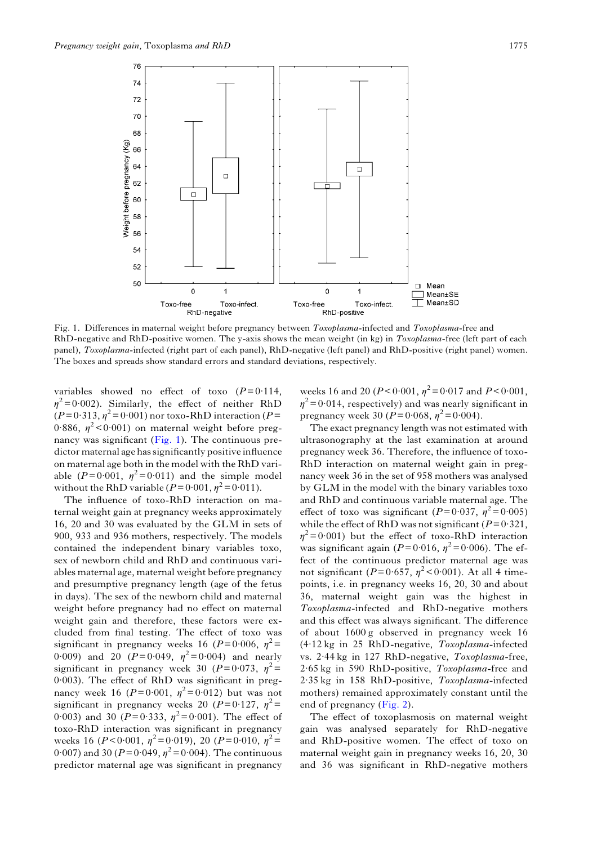

Fig. 1. Differences in maternal weight before pregnancy between Toxoplasma-infected and Toxoplasma-free and RhD-negative and RhD-positive women. The y-axis shows the mean weight (in kg) in Toxoplasma-free (left part of each panel), Toxoplasma-infected (right part of each panel), RhD-negative (left panel) and RhD-positive (right panel) women. The boxes and spreads show standard errors and standard deviations, respectively.

variables showed no effect of toxo  $(P= 0.114,$  $\eta^2$ = 0·002). Similarly, the effect of neither RhD  $(P= 0.313, \eta^2 = 0.001)$  nor toxo-RhD interaction (P= 0.886,  $\eta^2$  < 0.001) on maternal weight before pregnancy was significant (Fig. 1). The continuous predictor maternal age has significantly positive influence on maternal age both in the model with the RhD variable ( $P=0.001$ ,  $\eta^2=0.011$ ) and the simple model without the RhD variable ( $P=0.001$ ,  $\eta^2=0.011$ ).

The influence of toxo-RhD interaction on maternal weight gain at pregnancy weeks approximately 16, 20 and 30 was evaluated by the GLM in sets of 900, 933 and 936 mothers, respectively. The models contained the independent binary variables toxo, sex of newborn child and RhD and continuous variables maternal age, maternal weight before pregnancy and presumptive pregnancy length (age of the fetus in days). The sex of the newborn child and maternal weight before pregnancy had no effect on maternal weight gain and therefore, these factors were excluded from final testing. The effect of toxo was significant in pregnancy weeks 16 ( $P=0.006$ ,  $n^2=$ 0.009) and 20 ( $P = 0.049$ ,  $\eta^2 = 0.004$ ) and nearly significant in pregnancy week 30 ( $P=0.073$ ,  $\eta^2=$ 0·003). The effect of RhD was significant in pregnancy week 16 ( $P = 0.001$ ,  $\eta^2 = 0.012$ ) but was not significant in pregnancy weeks 20 ( $P=0.127$ ,  $\eta^2=$ 0.003) and 30 ( $P=0.333$ ,  $\eta^2=0.001$ ). The effect of toxo-RhD interaction was significant in pregnancy weeks 16 ( $P < 0.001$ ,  $\eta^2 = 0.019$ ), 20 ( $P = 0.010$ ,  $\eta^2 =$ 0.007) and 30 ( $P = 0.049$ ,  $\eta^2 = 0.004$ ). The continuous predictor maternal age was significant in pregnancy

weeks 16 and 20 ( $P < 0.001$ ,  $\eta^2 = 0.017$  and  $P < 0.001$ ,  $\eta^2$ = 0·014, respectively) and was nearly significant in pregnancy week 30 ( $P = 0.068$ ,  $\eta^2 = 0.004$ ).

The exact pregnancy length was not estimated with ultrasonography at the last examination at around pregnancy week 36. Therefore, the influence of toxo-RhD interaction on maternal weight gain in pregnancy week 36 in the set of 958 mothers was analysed by GLM in the model with the binary variables toxo and RhD and continuous variable maternal age. The effect of toxo was significant ( $P=0.037$ ,  $\eta^2=0.005$ ) while the effect of RhD was not significant ( $P= 0.321$ ,  $\eta^2$ = 0·001) but the effect of toxo-RhD interaction was significant again ( $P= 0.016$ ,  $\eta^2 = 0.006$ ). The effect of the continuous predictor maternal age was not significant ( $P= 0.657$ ,  $\eta^2 < 0.001$ ). At all 4 timepoints, i.e. in pregnancy weeks 16, 20, 30 and about 36, maternal weight gain was the highest in Toxoplasma-infected and RhD-negative mothers and this effect was always significant. The difference of about 1600 g observed in pregnancy week 16 (4·12 kg in 25 RhD-negative, Toxoplasma-infected vs. 2·44 kg in 127 RhD-negative, Toxoplasma-free, 2·65 kg in 590 RhD-positive, Toxoplasma-free and 2·35 kg in 158 RhD-positive, Toxoplasma-infected mothers) remained approximately constant until the end of pregnancy [\(Fig. 2](#page-3-0)).

The effect of toxoplasmosis on maternal weight gain was analysed separately for RhD-negative and RhD-positive women. The effect of toxo on maternal weight gain in pregnancy weeks 16, 20, 30 and 36 was significant in RhD-negative mothers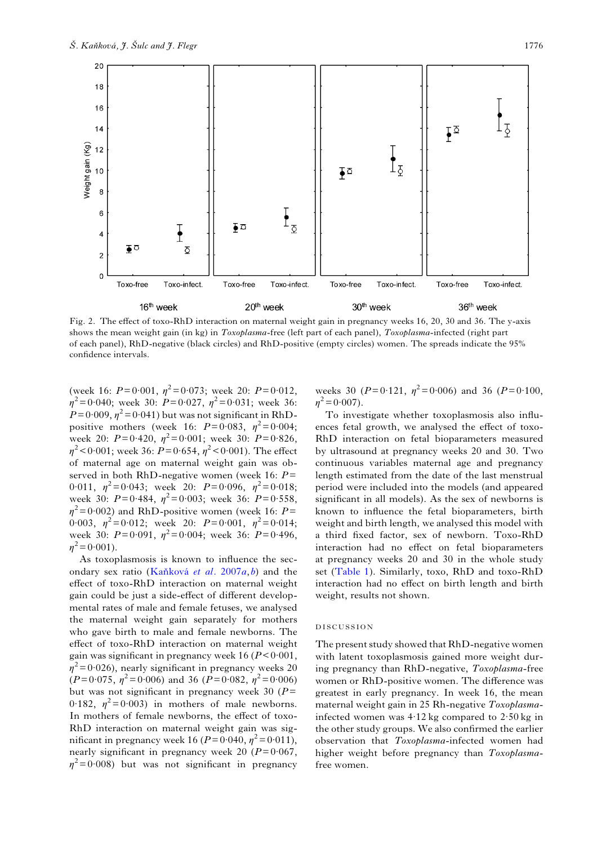<span id="page-3-0"></span>

Fig. 2. The effect of toxo-RhD interaction on maternal weight gain in pregnancy weeks 16, 20, 30 and 36. The y-axis shows the mean weight gain (in kg) in Toxoplasma-free (left part of each panel), Toxoplasma-infected (right part of each panel), RhD-negative (black circles) and RhD-positive (empty circles) women. The spreads indicate the 95% confidence intervals.

(week 16:  $P=0.001$ ,  $\eta^2=0.073$ ; week 20:  $P=0.012$ ,  $\eta^2$ = 0·040; week 30: P= 0·027,  $\eta^2$ = 0·031; week 36:  $P= 0.009$ ,  $\eta^2 = 0.041$ ) but was not significant in RhDpositive mothers (week 16:  $P=0.083$ ,  $\eta^2=0.004$ ; week 20:  $P=0.420$ ,  $\eta^2=0.001$ ; week 30:  $P=0.826$ ,  $\eta^2$  < 0.001; week 36: P = 0.654,  $\eta^2$  < 0.001). The effect of maternal age on maternal weight gain was observed in both RhD-negative women (week 16:  $P=$ 0.011,  $\eta^2 = 0.043$ ; week 20:  $P = 0.096$ ,  $\eta^2 = 0.018$ ; week 30:  $P = 0.484$ ,  $\eta^2 = 0.003$ ; week 36:  $P = 0.558$ ,  $\eta^2$ =0·002) and RhD-positive women (week 16: P= 0.003,  $\eta^2 = 0.012$ ; week 20:  $P = 0.001$ ,  $\eta^2 = 0.014$ ; week 30:  $P=0.091$ ,  $\eta^2=0.004$ ; week 36:  $P=0.496$ ,  $n^2$  = 0·001).

As toxoplasmosis is known to influence the secondary sex ratio (Kaňková [et al.](#page-6-0)  $2007a, b$  $2007a, b$ ) and the effect of toxo-RhD interaction on maternal weight gain could be just a side-effect of different developmental rates of male and female fetuses, we analysed the maternal weight gain separately for mothers who gave birth to male and female newborns. The effect of toxo-RhD interaction on maternal weight gain was significant in pregnancy week  $16 (P < 0.001$ ,  $\eta^2$ = 0·026), nearly significant in pregnancy weeks 20  $(P=0.075, \eta^2=0.006)$  and 36  $(P=0.082, \eta^2=0.006)$ but was not significant in pregnancy week 30 ( $P=$ 0.182,  $\eta^2 = 0.003$  in mothers of male newborns. In mothers of female newborns, the effect of toxo-RhD interaction on maternal weight gain was significant in pregnancy week 16 ( $P=0.040$ ,  $\eta^2=0.011$ ), nearly significant in pregnancy week 20 ( $P=0.067$ ,  $\eta^2$ = 0·008) but was not significant in pregnancy

weeks 30 ( $P = 0.121$ ,  $\eta^2 = 0.006$ ) and 36 ( $P = 0.100$ ,  $n^2$  = 0·007).

To investigate whether toxoplasmosis also influences fetal growth, we analysed the effect of toxo-RhD interaction on fetal bioparameters measured by ultrasound at pregnancy weeks 20 and 30. Two continuous variables maternal age and pregnancy length estimated from the date of the last menstrual period were included into the models (and appeared significant in all models). As the sex of newborns is known to influence the fetal bioparameters, birth weight and birth length, we analysed this model with a third fixed factor, sex of newborn. Toxo-RhD interaction had no effect on fetal bioparameters at pregnancy weeks 20 and 30 in the whole study set ([Table 1](#page-4-0)). Similarly, toxo, RhD and toxo-RhD interaction had no effect on birth length and birth weight, results not shown.

### DISCUSSION

The present study showed that RhD-negative women with latent toxoplasmosis gained more weight during pregnancy than RhD-negative, Toxoplasma-free women or RhD-positive women. The difference was greatest in early pregnancy. In week 16, the mean maternal weight gain in 25 Rh-negative Toxoplasmainfected women was  $4.12$  kg compared to  $2.50$  kg in the other study groups. We also confirmed the earlier observation that Toxoplasma-infected women had higher weight before pregnancy than Toxoplasmafree women.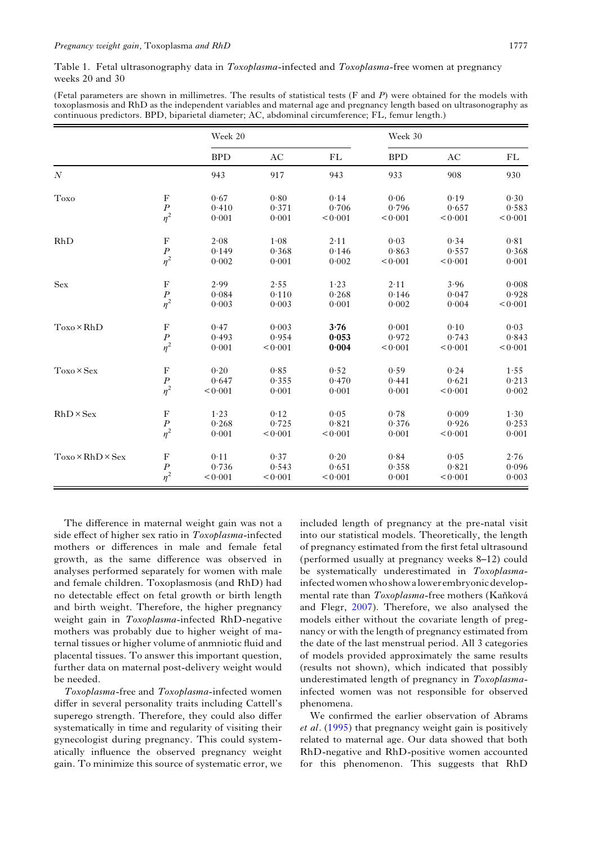<span id="page-4-0"></span>

| (Fetal parameters are shown in millimetres. The results of statistical tests (F and P) were obtained for the models with |
|--------------------------------------------------------------------------------------------------------------------------|
| toxoplasmosis and RhD as the independent variables and maternal age and pregnancy length based on ultrasonography as     |
| continuous predictors. BPD, biparietal diameter; AC, abdominal circumference; FL, femur length.)                         |

|                              |                                                                   | Week 20    |         |         | Week 30    |         |         |
|------------------------------|-------------------------------------------------------------------|------------|---------|---------|------------|---------|---------|
|                              |                                                                   | <b>BPD</b> | AC      | FL      | <b>BPD</b> | AC      | FL      |
| $\boldsymbol{N}$             |                                                                   | 943        | 917     | 943     | 933        | 908     | 930     |
| Toxo                         | $\mathbf F$                                                       | 0.67       | 0.80    | 0.14    | 0.06       | 0.19    | 0.30    |
|                              | $\frac{P}{\eta^2}$                                                | 0.410      | 0.371   | 0.706   | 0.796      | 0.657   | 0.583   |
|                              |                                                                   | 0.001      | 0.001   | < 0.001 | < 0.001    | < 0.001 | < 0.001 |
| RhD                          | $\mathbf F$                                                       | 2.08       | 1.08    | 2.11    | 0.03       | 0.34    | 0.81    |
|                              |                                                                   | 0.149      | 0.368   | 0.146   | 0.863      | 0.557   | 0.368   |
|                              | $\frac{P}{\eta^2}$                                                | 0.002      | 0.001   | 0.002   | < 0.001    | < 0.001 | 0.001   |
| ${\rm Sex}$                  | $\mathbf F$                                                       | 2.99       | 2.55    | 1.23    | 2.11       | 3.96    | 0.008   |
|                              |                                                                   | 0.084      | 0.110   | 0.268   | 0.146      | 0.047   | 0.928   |
|                              | $\frac{P}{\eta^2}$                                                | 0.003      | 0.003   | 0.001   | 0.002      | 0.004   | < 0.001 |
| $Toxo \times RhD$            |                                                                   | 0.47       | 0.003   | 3.76    | 0.001      | 0.10    | 0.03    |
|                              |                                                                   | 0.493      | 0.954   | 0.053   | 0.972      | 0.743   | 0.843   |
|                              | $\begin{array}{c} \mathbf{F} \\ \mathbf{P} \\ \eta^2 \end{array}$ | 0.001      | < 0.001 | 0.004   | < 0.001    | < 0.001 | < 0.001 |
| $Toxo \times Sex$            | $\mathbf F$                                                       | 0.20       | 0.85    | 0.52    | 0.59       | 0.24    | 1.55    |
|                              |                                                                   | 0.647      | 0.355   | 0.470   | 0.441      | 0.621   | 0.213   |
|                              | $\frac{P}{\eta^2}$                                                | < 0.001    | 0.001   | 0.001   | 0.001      | < 0.001 | 0.002   |
| $RhD \times Sex$             | $\mathbf F$                                                       | 1.23       | 0.12    | 0.05    | 0.78       | 0.009   | 1.30    |
|                              |                                                                   | 0.268      | 0.725   | 0.821   | 0.376      | 0.926   | 0.253   |
|                              | $\frac{P}{\eta^2}$                                                | 0.001      | < 0.001 | < 0.001 | 0.001      | < 0.001 | 0.001   |
| $Toxo \times RhD \times Sex$ | $\rm F$                                                           | 0.11       | 0.37    | 0.20    | 0.84       | 0.05    | 2.76    |
|                              | $\overline{P}$                                                    | 0.736      | 0.543   | 0.651   | 0.358      | 0.821   | 0.096   |
|                              | $\eta^2$                                                          | < 0.001    | < 0.001 | < 0.001 | 0.001      | < 0.001 | 0.003   |

The difference in maternal weight gain was not a side effect of higher sex ratio in Toxoplasma-infected mothers or differences in male and female fetal growth, as the same difference was observed in analyses performed separately for women with male and female children. Toxoplasmosis (and RhD) had no detectable effect on fetal growth or birth length and birth weight. Therefore, the higher pregnancy weight gain in Toxoplasma-infected RhD-negative mothers was probably due to higher weight of maternal tissues or higher volume of anmniotic fluid and placental tissues. To answer this important question, further data on maternal post-delivery weight would be needed.

Toxoplasma-free and Toxoplasma-infected women differ in several personality traits including Cattell's superego strength. Therefore, they could also differ systematically in time and regularity of visiting their gynecologist during pregnancy. This could systematically influence the observed pregnancy weight gain. To minimize this source of systematic error, we

included length of pregnancy at the pre-natal visit into our statistical models. Theoretically, the length of pregnancy estimated from the first fetal ultrasound (performed usually at pregnancy weeks 8–12) could be systematically underestimated in Toxoplasmainfected womenwho showalowerembryonic developmental rate than Toxoplasma-free mothers (Kaňková and Flegr, [2007](#page-6-0)). Therefore, we also analysed the models either without the covariate length of pregnancy or with the length of pregnancy estimated from the date of the last menstrual period. All 3 categories of models provided approximately the same results (results not shown), which indicated that possibly underestimated length of pregnancy in Toxoplasmainfected women was not responsible for observed phenomena.

We confirmed the earlier observation of Abrams et al. [\(1995](#page-5-0)) that pregnancy weight gain is positively related to maternal age. Our data showed that both RhD-negative and RhD-positive women accounted for this phenomenon. This suggests that RhD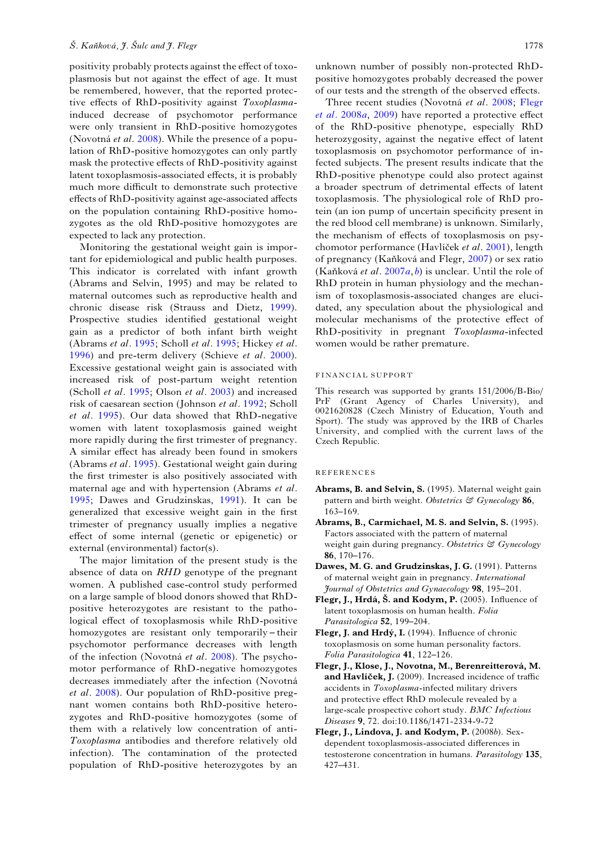<span id="page-5-0"></span>positivity probably protects against the effect of toxoplasmosis but not against the effect of age. It must be remembered, however, that the reported protective effects of RhD-positivity against Toxoplasmainduced decrease of psychomotor performance were only transient in RhD-positive homozygotes (Novotná et al. [2008\)](#page-6-0). While the presence of a population of RhD-positive homozygotes can only partly mask the protective effects of RhD-positivity against latent toxoplasmosis-associated effects, it is probably much more difficult to demonstrate such protective effects of RhD-positivity against age-associated affects on the population containing RhD-positive homozygotes as the old RhD-positive homozygotes are expected to lack any protection.

Monitoring the gestational weight gain is important for epidemiological and public health purposes. This indicator is correlated with infant growth (Abrams and Selvin, 1995) and may be related to maternal outcomes such as reproductive health and chronic disease risk (Strauss and Dietz, [1999\)](#page-6-0). Prospective studies identified gestational weight gain as a predictor of both infant birth weight (Abrams et al. 1995; Scholl et al. [1995;](#page-6-0) Hickey et al. [1996](#page-6-0)) and pre-term delivery (Schieve et al. [2000\)](#page-6-0). Excessive gestational weight gain is associated with increased risk of post-partum weight retention (Scholl et al. [1995](#page-6-0); Olson et al. [2003](#page-6-0)) and increased risk of caesarean section (Johnson et al. [1992](#page-6-0); Scholl et al. [1995](#page-6-0)). Our data showed that RhD-negative women with latent toxoplasmosis gained weight more rapidly during the first trimester of pregnancy. A similar effect has already been found in smokers (Abrams et al. 1995). Gestational weight gain during the first trimester is also positively associated with maternal age and with hypertension (Abrams et al. 1995; Dawes and Grudzinskas, 1991). It can be generalized that excessive weight gain in the first trimester of pregnancy usually implies a negative effect of some internal (genetic or epigenetic) or external (environmental) factor(s).

The major limitation of the present study is the absence of data on RHD genotype of the pregnant women. A published case-control study performed on a large sample of blood donors showed that RhDpositive heterozygotes are resistant to the pathological effect of toxoplasmosis while RhD-positive homozygotes are resistant only temporarily – their psychomotor performance decreases with length of the infection (Novotná et al. [2008\)](#page-6-0). The psychomotor performance of RhD-negative homozygotes decreases immediately after the infection (Novotná et al. [2008\)](#page-6-0). Our population of RhD-positive pregnant women contains both RhD-positive heterozygotes and RhD-positive homozygotes (some of them with a relatively low concentration of anti-Toxoplasma antibodies and therefore relatively old infection). The contamination of the protected population of RhD-positive heterozygotes by an

unknown number of possibly non-protected RhDpositive homozygotes probably decreased the power of our tests and the strength of the observed effects.

Three recent studies (Novotná et al. [2008](#page-6-0); [Flegr](#page-6-0) [et al.](#page-6-0) 2008a, 2009) have reported a protective effect of the RhD-positive phenotype, especially RhD heterozygosity, against the negative effect of latent toxoplasmosis on psychomotor performance of infected subjects. The present results indicate that the RhD-positive phenotype could also protect against a broader spectrum of detrimental effects of latent toxoplasmosis. The physiological role of RhD protein (an ion pump of uncertain specificity present in the red blood cell membrane) is unknown. Similarly, the mechanism of effects of toxoplasmosis on psychomotor performance (Havlíček et al. [2001\)](#page-6-0), length of pregnancy (Kaňková and Flegr, [2007](#page-6-0)) or sex ratio (Kaňková et al.  $2007a, b$  $2007a, b$  $2007a, b$ ) is unclear. Until the role of RhD protein in human physiology and the mechanism of toxoplasmosis-associated changes are elucidated, any speculation about the physiological and molecular mechanisms of the protective effect of RhD-positivity in pregnant Toxoplasma-infected women would be rather premature.

### FINANCIAL SUPPORT

This research was supported by grants 151/2006/B-Bio/ PrF (Grant Agency of Charles University), and 0021620828 (Czech Ministry of Education, Youth and Sport). The study was approved by the IRB of Charles University, and complied with the current laws of the Czech Republic.

#### REFERENCES

- Abrams, B. and Selvin, S. (1995). Maternal weight gain pattern and birth weight. Obstetrics & Gynecology 86, 163–169.
- Abrams, B., Carmichael, M. S. and Selvin, S. (1995). Factors associated with the pattern of maternal weight gain during pregnancy. Obstetrics & Gynecology 86, 170–176.
- Dawes, M. G. and Grudzinskas, J. G. (1991). Patterns of maternal weight gain in pregnancy. International Journal of Obstetrics and Gynaecology 98, 195–201.
- Flegr, J., Hrdá, Š. and Kodym, P. (2005). Influence of latent toxoplasmosis on human health. Folia Parasitologica 52, 199–204.
- Flegr, J. and Hrdý, I. (1994). Influence of chronic toxoplasmosis on some human personality factors. Folia Parasitologica 41, 122–126.
- Flegr, J., Klose, J., Novotna, M., Berenreitterová, M. and Havlíček, J. (2009). Increased incidence of traffic accidents in Toxoplasma-infected military drivers and protective effect RhD molecule revealed by a large-scale prospective cohort study. BMC Infectious Diseases 9, 72. doi:10.1186/1471-2334-9-72
- Flegr, J., Lindova, J. and Kodym, P. (2008b). Sexdependent toxoplasmosis-associated differences in testosterone concentration in humans. Parasitology 135, 427–431.